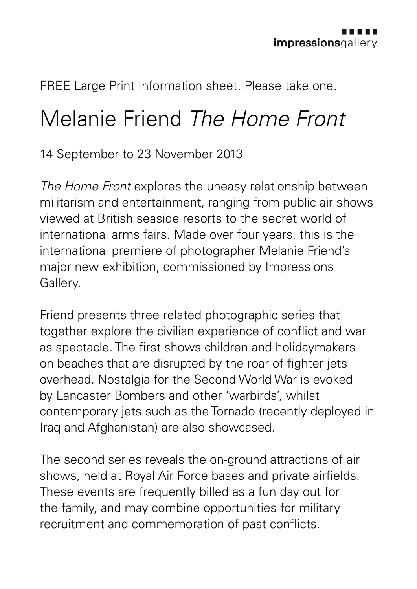FREE Large Print Information sheet. Please take one.

## Melanie Friend *The Home Front*

14 September to 23 November 2013

*The Home Front* explores the uneasy relationship between militarism and entertainment, ranging from public air shows viewed at British seaside resorts to the secret world of international arms fairs. Made over four years, this is the international premiere of photographer Melanie Friend's major new exhibition, commissioned by Impressions Gallery.

Friend presents three related photographic series that together explore the civilian experience of conflict and war as spectacle. The first shows children and holidaymakers on beaches that are disrupted by the roar of fighter jets overhead. Nostalgia for the Second World War is evoked by Lancaster Bombers and other 'warbirds', whilst contemporary jets such as the Tornado (recently deployed in Iraq and Afghanistan) are also showcased.

The second series reveals the on-ground attractions of air shows, held at Royal Air Force bases and private airfields. These events are frequently billed as a fun day out for the family, and may combine opportunities for military recruitment and commemoration of past conflicts.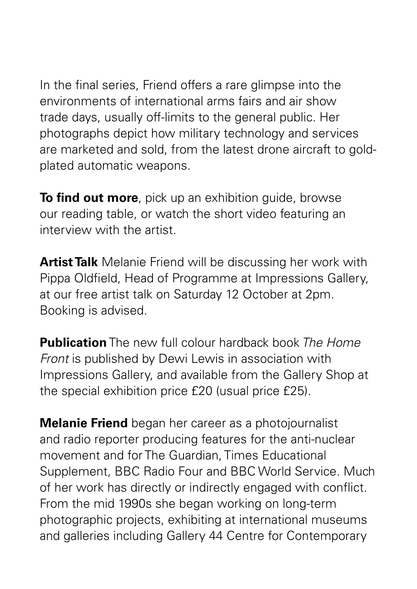In the final series, Friend offers a rare glimpse into the environments of international arms fairs and air show trade days, usually off-limits to the general public. Her photographs depict how military technology and services are marketed and sold, from the latest drone aircraft to goldplated automatic weapons.

**To find out more**, pick up an exhibition guide, browse our reading table, or watch the short video featuring an interview with the artist.

**Artist Talk** Melanie Friend will be discussing her work with Pippa Oldfield, Head of Programme at Impressions Gallery, at our free artist talk on Saturday 12 October at 2pm. Booking is advised.

**Publication** The new full colour hardback book *The Home Front* is published by Dewi Lewis in association with Impressions Gallery, and available from the Gallery Shop at the special exhibition price £20 (usual price £25).

**Melanie Friend** began her career as a photojournalist and radio reporter producing features for the anti-nuclear movement and for The Guardian, Times Educational Supplement, BBC Radio Four and BBC World Service. Much of her work has directly or indirectly engaged with conflict. From the mid 1990s she began working on long-term photographic projects, exhibiting at international museums and galleries including Gallery 44 Centre for Contemporary